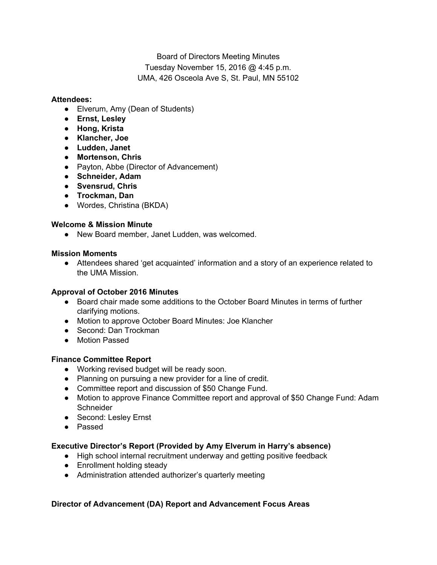# Board of Directors Meeting Minutes Tuesday November 15, 2016 @ 4:45 p.m. UMA, 426 Osceola Ave S, St. Paul, MN 55102

## **Attendees:**

- Elverum, Amy (Dean of Students)
- **Ernst, Lesley**
- **Hong, Krista**
- **● Klancher, Joe**
- **● Ludden, Janet**
- **Mortenson, Chris**
- Payton, Abbe (Director of Advancement)
- **Schneider, Adam**
- **Svensrud, Chris**
- **Trockman, Dan**
- Wordes, Christina (BKDA)

#### **Welcome & Mission Minute**

● New Board member, Janet Ludden, was welcomed.

#### **Mission Moments**

● Attendees shared 'get acquainted' information and a story of an experience related to the UMA Mission.

## **Approval of October 2016 Minutes**

- Board chair made some additions to the October Board Minutes in terms of further clarifying motions.
- Motion to approve October Board Minutes: Joe Klancher
- Second: Dan Trockman
- Motion Passed

## **Finance Committee Report**

- Working revised budget will be ready soon.
- Planning on pursuing a new provider for a line of credit.
- Committee report and discussion of \$50 Change Fund.
- Motion to approve Finance Committee report and approval of \$50 Change Fund: Adam **Schneider**
- Second: Lesley Ernst
- Passed

## **Executive Director's Report (Provided by Amy Elverum in Harry's absence)**

- High school internal recruitment underway and getting positive feedback
- Enrollment holding steady
- Administration attended authorizer's quarterly meeting

## **Director of Advancement (DA) Report and Advancement Focus Areas**